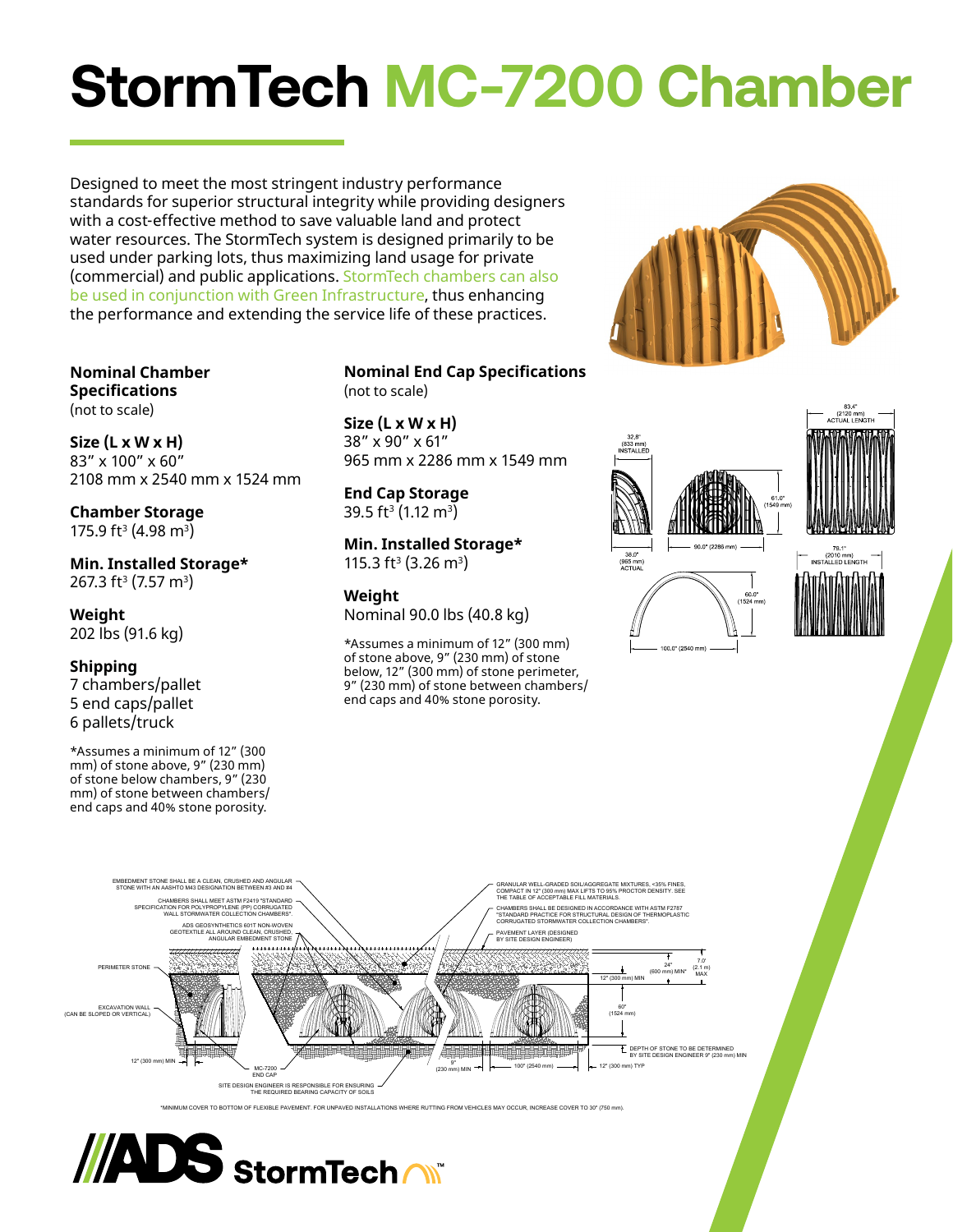# **StormTech MC-7200 Chamber**

Designed to meet the most stringent industry performance standards for superior structural integrity while providing designers with a cost-effective method to save valuable land and protect water resources. The StormTech system is designed primarily to be used under parking lots, thus maximizing land usage for private (commercial) and public applications. StormTech chambers can also be used in conjunction with Green Infrastructure, thus enhancing the performance and extending the service life of these practices.

**Nominal Chamber Specifications** (not to scale)

**Size (L x W x H)** 83" x 100" x 60" 2108 mm x 2540 mm x 1524 mm

**Chamber Storage** 175.9 ft<sup>3</sup> (4.98 m<sup>3</sup>)

**Min. Installed Storage\*** 267.3 ft<sup>3</sup> (7.57 m<sup>3</sup>)

**Weight** 202 lbs (91.6 kg)

# **Shipping**

7 chambers/pallet 5 end caps/pallet 6 pallets/truck

\*Assumes a minimum of 12" (300 mm) of stone above, 9" (230 mm) of stone below chambers, 9" (230 mm) of stone between chambers/ end caps and 40% stone porosity.

# **Nominal End Cap Specifications** (not to scale)

**Size (L x W x H)** 38" x 90" x 61" 965 mm x 2286 mm x 1549 mm

**End Cap Storage** 39.5 ft<sup>3</sup> (1.12 m<sup>3</sup>)

**Min. Installed Storage\*** 115.3 ft<sup>3</sup> (3.26 m<sup>3</sup>)

## **Weight**

Nominal 90.0 lbs (40.8 kg)

\*Assumes a minimum of 12" (300 mm) of stone above, 9" (230 mm) of stone below, 12" (300 mm) of stone perimeter, 9" (230 mm) of stone between chambers/ end caps and 40% stone porosity.







<sup>.&</sup>lt;br>MUM COVER TO BOTTOM OF FLEXIBLE PAVEMENT. FOR UNPAVED INSTALLATIONS WHERE RUTTING FROM VEHICLES MAY OCCUR, INCREASE COVER TO 30" (750 mm